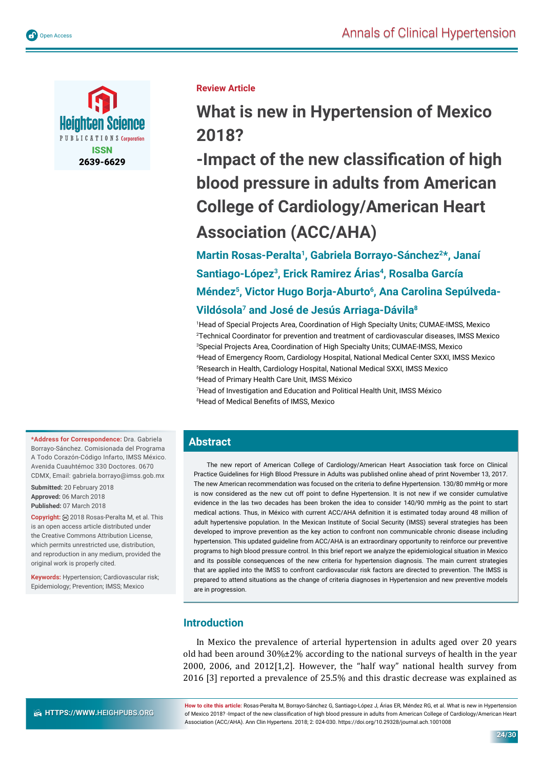

**Review Article**

**What is new in Hypertension of Mexico 2018?**

**-Impact of the new classification of high blood pressure in adults from American College of Cardiology/American Heart Association (ACC/AHA)**

**Martin Rosas-Peralta1, Gabriela Borrayo-Sánchez2\*, Janaí**  Santiago-López<sup>3</sup>, Erick Ramirez Árias<sup>4</sup>, Rosalba García Méndez<sup>5</sup>, Victor Hugo Borja-Aburto<sup>6</sup>, Ana Carolina Sepúlveda-**Vildósola7 and José de Jesús Arriaga-Dávila8**

 Head of Special Projects Area, Coordination of High Specialty Units; CUMAE-IMSS, Mexico Technical Coordinator for prevention and treatment of cardiovascular diseases, IMSS Mexico Special Projects Area, Coordination of High Specialty Units; CUMAE-IMSS, Mexico Head of Emergency Room, Cardiology Hospital, National Medical Center SXXI, IMSS Mexico Research in Health, Cardiology Hospital, National Medical SXXI, IMSS Mexico Head of Primary Health Care Unit, IMSS México

7 Head of Investigation and Education and Political Health Unit, IMSS México <sup>8</sup>Head of Medical Benefits of IMSS, Mexico

# **Abstract**

The new report of American College of Cardiology/American Heart Association task force on Clinical Practice Guidelines for High Blood Pressure in Adults was published online ahead of print November 13, 2017. The new American recommendation was focused on the criteria to define Hypertension. 130/80 mmHg or more is now considered as the new cut off point to define Hypertension. It is not new if we consider cumulative evidence in the las two decades has been broken the idea to consider 140/90 mmHg as the point to start medical actions. Thus, in México with current ACC/AHA definition it is estimated today around 48 million of adult hypertensive population. In the Mexican Institute of Social Security (IMSS) several strategies has been developed to improve prevention as the key action to confront non communicable chronic disease including hypertension. This updated guideline from ACC/AHA is an extraordinary opportunity to reinforce our preventive programs to high blood pressure control. In this brief report we analyze the epidemiological situation in Mexico and its possible consequences of the new criteria for hypertension diagnosis. The main current strategies that are applied into the IMSS to confront cardiovascular risk factors are directed to prevention. The IMSS is prepared to attend situations as the change of criteria diagnoses in Hypertension and new preventive models are in progression.

# **Introduction**

In Mexico the prevalence of arterial hypertension in adults aged over 20 years old had been around 30%±2% according to the national surveys of health in the year 2000, 2006, and 2012[1,2]. However, the "half way" national health survey from 2016 [3] reported a prevalence of 25.5% and this drastic decrease was explained as

**\*Address for Correspondence:** Dra. Gabriela Borrayo-Sánchez. Comisionada del Programa A Todo Corazón-Código Infarto, IMSS México. Avenida Cuauhtémoc 330 Doctores. 0670 CDMX, Email: gabriela.borrayo@imss.gob.mx

**Submitted:** 20 February 2018 **Approved:** 06 March 2018 **Published:** 07 March 2018

**Copyright:** 2018 Rosas-Peralta M, et al. This is an open access article distributed under the Creative Commons Attribution License, which permits unrestricted use, distribution, and reproduction in any medium, provided the original work is properly cited.

**Keywords:** Hypertension; Cardiovascular risk; Epidemiology; Prevention; IMSS; Mexico

**HTTPS://WWW.HEIGHPUBS.ORG** 

**How to cite this article:** Rosas-Peralta M, Borrayo-Sánchez G, Santiago-López J, Árias ER, Méndez RG, et al. What is new in Hypertension of Mexico 2018? -Impact of the new classification of high blood pressure in adults from American College of Cardiology/American Heart Association (ACC/AHA). Ann Clin Hypertens. 2018; 2: 024-030. https://doi.org/10.29328/journal.ach.1001008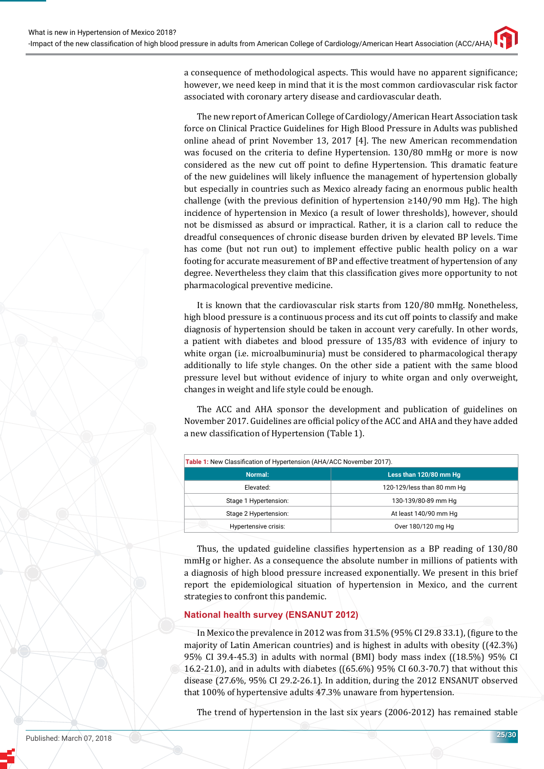a consequence of methodological aspects. This would have no apparent significance; however, we need keep in mind that it is the most common cardiovascular risk factor associated with coronary artery disease and cardiovascular death.

The new report of American College of Cardiology/American Heart Association task force on Clinical Practice Guidelines for High Blood Pressure in Adults was published online ahead of print November 13, 2017 [4]. The new American recommendation was focused on the criteria to define Hypertension. 130/80 mmHg or more is now considered as the new cut off point to define Hypertension. This dramatic feature of the new guidelines will likely influence the management of hypertension globally but especially in countries such as Mexico already facing an enormous public health challenge (with the previous definition of hypertension  $\geq 140/90$  mm Hg). The high incidence of hypertension in Mexico (a result of lower thresholds), however, should not be dismissed as absurd or impractical. Rather, it is a clarion call to reduce the dreadful consequences of chronic disease burden driven by elevated BP levels. Time has come (but not run out) to implement effective public health policy on a war footing for accurate measurement of BP and effective treatment of hypertension of any degree. Nevertheless they claim that this classification gives more opportunity to not pharmacological preventive medicine.

It is known that the cardiovascular risk starts from 120/80 mmHg. Nonetheless, high blood pressure is a continuous process and its cut off points to classify and make diagnosis of hypertension should be taken in account very carefully. In other words, a patient with diabetes and blood pressure of 135/83 with evidence of injury to white organ (i.e. microalbuminuria) must be considered to pharmacological therapy additionally to life style changes. On the other side a patient with the same blood pressure level but without evidence of injury to white organ and only overweight, changes in weight and life style could be enough.

The ACC and AHA sponsor the development and publication of guidelines on November 2017. Guidelines are official policy of the ACC and AHA and they have added a new classification of Hypertension (Table 1).

| Table 1: New Classification of Hypertension (AHA/ACC November 2017). |                            |
|----------------------------------------------------------------------|----------------------------|
| Normal:                                                              | Less than 120/80 mm Hq     |
| Elevated:                                                            | 120-129/less than 80 mm Hg |
| Stage 1 Hypertension:                                                | 130-139/80-89 mm Hg        |
| Stage 2 Hypertension:                                                | At least 140/90 mm Hg      |
| Hypertensive crisis:                                                 | Over 180/120 mg Hg         |

Thus, the updated guideline classifies hypertension as a BP reading of 130/80 mmHg or higher. As a consequence the absolute number in millions of patients with a diagnosis of high blood pressure increased exponentially. We present in this brief report the epidemiological situation of hypertension in Mexico, and the current strategies to confront this pandemic.

## **National health survey (ENSANUT 2012)**

In Mexico the prevalence in 2012 was from 31.5% (95% CI 29.8 33.1), (figure to the majority of Latin American countries) and is highest in adults with obesity ((42.3%) 95% CI 39.4-45.3) in adults with normal (BMI) body mass index ((18.5%) 95% CI 16.2-21.0), and in adults with diabetes ((65.6%) 95% CI 60.3-70.7) that without this disease (27.6%, 95% CI 29.2-26.1). In addition, during the 2012 ENSANUT observed that 100% of hypertensive adults 47.3% unaware from hypertension.

The trend of hypertension in the last six years (2006-2012) has remained stable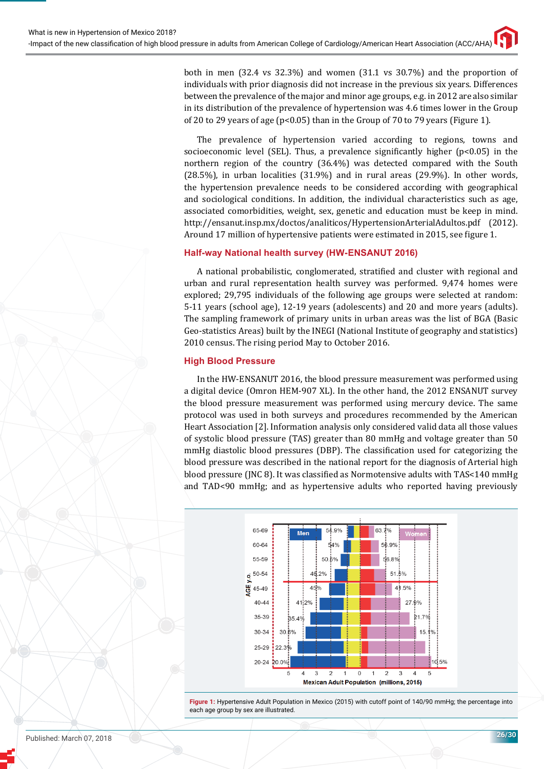both in men (32.4 vs 32.3%) and women (31.1 vs 30.7%) and the proportion of individuals with prior diagnosis did not increase in the previous six years. Differences between the prevalence of the major and minor age groups, e.g. in 2012 are also similar in its distribution of the prevalence of hypertension was 4.6 times lower in the Group of 20 to 29 years of age (p<0.05) than in the Group of 70 to 79 years (Figure 1).

The prevalence of hypertension varied according to regions, towns and socioeconomic level (SEL). Thus, a prevalence significantly higher ( $p<0.05$ ) in the northern region of the country (36.4%) was detected compared with the South (28.5%), in urban localities (31.9%) and in rural areas (29.9%). In other words, the hypertension prevalence needs to be considered according with geographical and sociological conditions. In addition, the individual characteristics such as age, associated comorbidities, weight, sex, genetic and education must be keep in mind. http://ensanut.insp.mx/doctos/analiticos/HypertensionArterialAdultos.pdf (2012). Around 17 million of hypertensive patients were estimated in 2015, see figure 1.

## **Half-way National health survey (HW-ENSANUT 2016)**

A national probabilistic, conglomerated, stratified and cluster with regional and urban and rural representation health survey was performed. 9,474 homes were explored; 29,795 individuals of the following age groups were selected at random: 5-11 years (school age), 12-19 years (adolescents) and 20 and more years (adults). The sampling framework of primary units in urban areas was the list of BGA (Basic Geo-statistics Areas) built by the INEGI (National Institute of geography and statistics) 2010 census. The rising period May to October 2016.

## **High Blood Pressure**

In the HW-ENSANUT 2016, the blood pressure measurement was performed using a digital device (Omron HEM-907 XL). In the other hand, the 2012 ENSANUT survey the blood pressure measurement was performed using mercury device. The same protocol was used in both surveys and procedures recommended by the American Heart Association [2]. Information analysis only considered valid data all those values of systolic blood pressure (TAS) greater than 80 mmHg and voltage greater than 50 mmHg diastolic blood pressures (DBP). The classification used for categorizing the blood pressure was described in the national report for the diagnosis of Arterial high blood pressure (JNC 8). It was classified as Normotensive adults with TAS<140 mmHg and TAD<90 mmHg; and as hypertensive adults who reported having previously



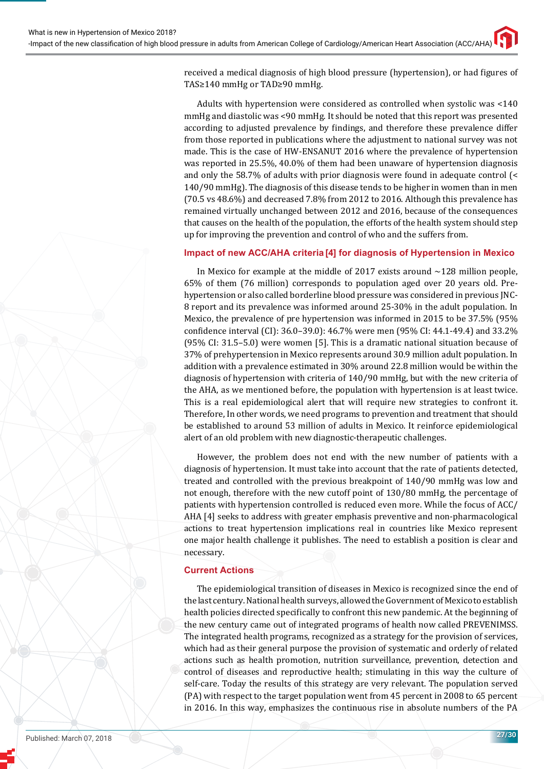received a medical diagnosis of high blood pressure (hypertension), or had figures of TAS≥140 mmHg or TAD≥90 mmHg.

Adults with hypertension were considered as controlled when systolic was <140 mmHg and diastolic was <90 mmHg. It should be noted that this report was presented according to adjusted prevalence by findings, and therefore these prevalence differ from those reported in publications where the adjustment to national survey was not made. This is the case of HW-ENSANUT 2016 where the prevalence of hypertension was reported in 25.5%, 40.0% of them had been unaware of hypertension diagnosis and only the 58.7% of adults with prior diagnosis were found in adequate control (< 140/90 mmHg). The diagnosis of this disease tends to be higher in women than in men (70.5 vs 48.6%) and decreased 7.8% from 2012 to 2016. Although this prevalence has remained virtually unchanged between 2012 and 2016, because of the consequences that causes on the health of the population, the efforts of the health system should step up for improving the prevention and control of who and the suffers from.

### **Impact of new ACC/AHA criteria [4] for diagnosis of Hypertension in Mexico**

In Mexico for example at the middle of 2017 exists around  $\sim$ 128 million people, 65% of them (76 million) corresponds to population aged over 20 years old. Prehypertension or also called borderline blood pressure was considered in previous JNC-8 report and its prevalence was informed around 25-30% in the adult population. In Mexico, the prevalence of pre hypertension was informed in 2015 to be 37.5% (95% confidence interval (CI): 36.0–39.0): 46.7% were men (95% CI: 44.1-49.4) and 33.2% (95% CI: 31.5–5.0) were women [5]. This is a dramatic national situation because of 37% of prehypertension in Mexico represents around 30.9 million adult population. In addition with a prevalence estimated in 30% around 22.8 million would be within the diagnosis of hypertension with criteria of 140/90 mmHg, but with the new criteria of the AHA, as we mentioned before, the population with hypertension is at least twice. This is a real epidemiological alert that will require new strategies to confront it. Therefore, In other words, we need programs to prevention and treatment that should be established to around 53 million of adults in Mexico. It reinforce epidemiological alert of an old problem with new diagnostic-therapeutic challenges.

However, the problem does not end with the new number of patients with a diagnosis of hypertension. It must take into account that the rate of patients detected, treated and controlled with the previous breakpoint of 140/90 mmHg was low and not enough, therefore with the new cutoff point of 130/80 mmHg, the percentage of patients with hypertension controlled is reduced even more. While the focus of ACC/ AHA [4] seeks to address with greater emphasis preventive and non-pharmacological actions to treat hypertension implications real in countries like Mexico represent one major health challenge it publishes. The need to establish a position is clear and necessary.

#### **Current Actions**

The epidemiological transition of diseases in Mexico is recognized since the end of the last century. National health surveys, allowed the Government of Mexico to establish health policies directed specifically to confront this new pandemic. At the beginning of the new century came out of integrated programs of health now called PREVENIMSS. The integrated health programs, recognized as a strategy for the provision of services, which had as their general purpose the provision of systematic and orderly of related actions such as health promotion, nutrition surveillance, prevention, detection and control of diseases and reproductive health; stimulating in this way the culture of self-care. Today the results of this strategy are very relevant. The population served (PA) with respect to the target population went from 45 percent in 2008 to 65 percent in 2016. In this way, emphasizes the continuous rise in absolute numbers of the PA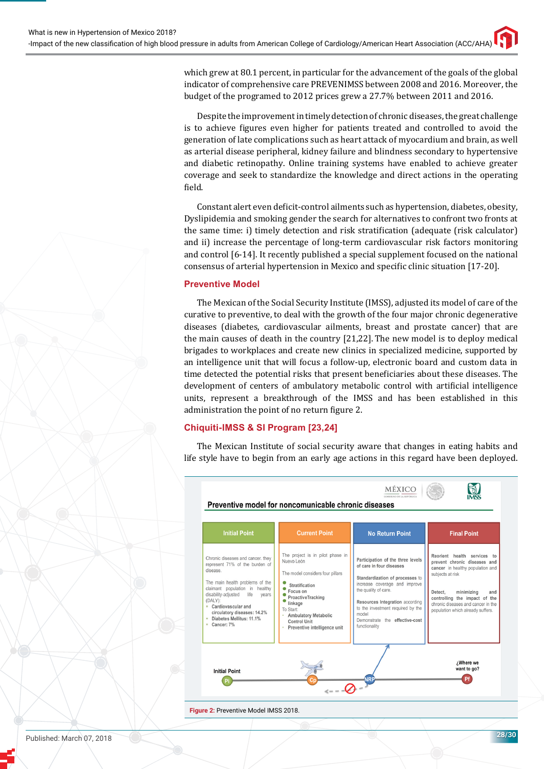which grew at 80.1 percent, in particular for the advancement of the goals of the global indicator of comprehensive care PREVENIMSS between 2008 and 2016. Moreover, the budget of the programed to 2012 prices grew a 27.7% between 2011 and 2016.

Despite the improvement in timely detection of chronic diseases, the great challenge is to achieve figures even higher for patients treated and controlled to avoid the generation of late complications such as heart attack of myocardium and brain, as well as arterial disease peripheral, kidney failure and blindness secondary to hypertensive and diabetic retinopathy. Online training systems have enabled to achieve greater coverage and seek to standardize the knowledge and direct actions in the operating field.

Constant alert even deficit-control ailments such as hypertension, diabetes, obesity, Dyslipidemia and smoking gender the search for alternatives to confront two fronts at the same time: i) timely detection and risk stratification (adequate (risk calculator) and ii) increase the percentage of long-term cardiovascular risk factors monitoring and control [6-14]. It recently published a special supplement focused on the national consensus of arterial hypertension in Mexico and specific clinic situation [17-20].

## **Preventive Model**

The Mexican of the Social Security Institute (IMSS), adjusted its model of care of the curative to preventive, to deal with the growth of the four major chronic degenerative diseases (diabetes, cardiovascular ailments, breast and prostate cancer) that are the main causes of death in the country [21,22]. The new model is to deploy medical brigades to workplaces and create new clinics in specialized medicine, supported by an intelligence unit that will focus a follow-up, electronic board and custom data in time detected the potential risks that present beneficiaries about these diseases. The development of centers of ambulatory metabolic control with artificial intelligence units, represent a breakthrough of the IMSS and has been established in this administration the point of no return figure 2.

## **Chiquiti-IMSS & SI Program [23,24]**

The Mexican Institute of social security aware that changes in eating habits and life style have to begin from an early age actions in this regard have been deployed.



Published: March 07, 2018 **28/30**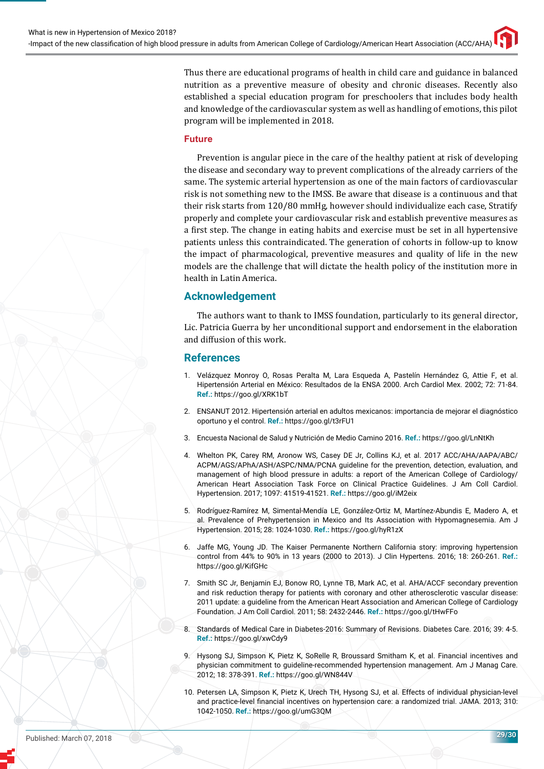Thus there are educational programs of health in child care and guidance in balanced nutrition as a preventive measure of obesity and chronic diseases. Recently also established a special education program for preschoolers that includes body health and knowledge of the cardiovascular system as well as handling of emotions, this pilot program will be implemented in 2018.

### **Future**

Prevention is angular piece in the care of the healthy patient at risk of developing the disease and secondary way to prevent complications of the already carriers of the same. The systemic arterial hypertension as one of the main factors of cardiovascular risk is not something new to the IMSS. Be aware that disease is a continuous and that their risk starts from 120/80 mmHg, however should individualize each case, Stratify properly and complete your cardiovascular risk and establish preventive measures as a first step. The change in eating habits and exercise must be set in all hypertensive patients unless this contraindicated. The generation of cohorts in follow-up to know the impact of pharmacological, preventive measures and quality of life in the new models are the challenge that will dictate the health policy of the institution more in health in Latin America.

## **Acknowledgement**

The authors want to thank to IMSS foundation, particularly to its general director, Lic. Patricia Guerra by her unconditional support and endorsement in the elaboration and diffusion of this work.

## **References**

- 1. Velázquez Monroy O, Rosas Peralta M, Lara Esqueda A, Pastelín Hernández G, Attie F, et al. Hipertensión Arterial en México: Resultados de la ENSA 2000. Arch Cardiol Mex. 2002; 72: 71-84. **Ref.:** https://goo.gl/XRK1bT
- 2. ENSANUT 2012. Hipertensión arterial en adultos mexicanos: importancia de mejorar el diagnóstico oportuno y el control. **Ref.:** https://goo.gl/t3rFU1
- 3. Encuesta Nacional de Salud y Nutrición de Medio Camino 2016. **Ref.:** https://goo.gl/LnNtKh
- 4. Whelton PK, Carey RM, Aronow WS, Casey DE Jr, Collins KJ, et al. 2017 ACC/AHA/AAPA/ABC/ ACPM/AGS/APhA/ASH/ASPC/NMA/PCNA guideline for the prevention, detection, evaluation, and management of high blood pressure in adults: a report of the American College of Cardiology/ American Heart Association Task Force on Clinical Practice Guidelines. J Am Coll Cardiol. Hypertension. 2017; 1097: 41519-41521. **Ref.:** https://goo.gl/iM2eix
- 5. Rodríguez-Ramírez M, Simental-Mendía LE, González-Ortiz M, Martínez-Abundis E, Madero A, et al. Prevalence of Prehypertension in Mexico and Its Association with Hypomagnesemia. Am J Hypertension. 2015; 28: 1024-1030. **Ref.:** https://goo.gl/hyR1zX
- 6. Jaffe MG, Young JD. The Kaiser Permanente Northern California story: improving hypertension control from 44% to 90% in 13 years (2000 to 2013). J Clin Hypertens. 2016; 18: 260-261. **Ref.:** https://goo.gl/KifGHc
- 7. Smith SC Jr, Benjamin EJ, Bonow RO, Lynne TB, Mark AC, et al. AHA/ACCF secondary prevention and risk reduction therapy for patients with coronary and other atherosclerotic vascular disease: 2011 update: a guideline from the American Heart Association and American College of Cardiology Foundation. J Am Coll Cardiol. 2011; 58: 2432-2446. **Ref.:** https://goo.gl/tHwFFo
- 8. Standards of Medical Care in Diabetes-2016: Summary of Revisions. Diabetes Care. 2016; 39: 4-5. **Ref.:** https://goo.gl/xwCdy9
- 9. Hysong SJ, Simpson K, Pietz K, SoRelle R, Broussard Smitham K, et al. Financial incentives and physician commitment to guideline-recommended hypertension management. Am J Manag Care. 2012; 18: 378-391. **Ref.:** https://goo.gl/WN844V
- 10. Petersen LA, Simpson K, Pietz K, Urech TH, Hysong SJ, et al. Effects of individual physician-level and practice-level financial incentives on hypertension care: a randomized trial. JAMA. 2013; 310: 1042-1050. **Ref.:** https://goo.gl/umG3QM